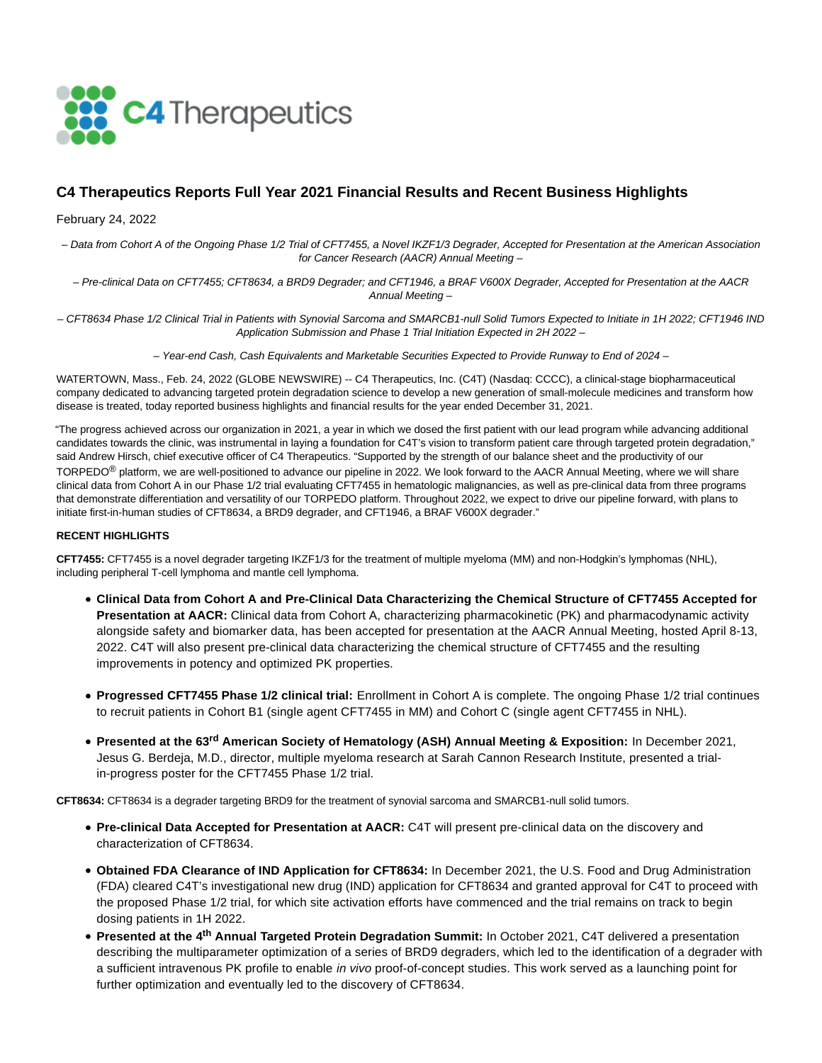

## **C4 Therapeutics Reports Full Year 2021 Financial Results and Recent Business Highlights**

February 24, 2022

– Data from Cohort A of the Ongoing Phase 1/2 Trial of CFT7455, a Novel IKZF1/3 Degrader, Accepted for Presentation at the American Association for Cancer Research (AACR) Annual Meeting –

– Pre-clinical Data on CFT7455; CFT8634, a BRD9 Degrader; and CFT1946, a BRAF V600X Degrader, Accepted for Presentation at the AACR Annual Meeting –

– CFT8634 Phase 1/2 Clinical Trial in Patients with Synovial Sarcoma and SMARCB1-null Solid Tumors Expected to Initiate in 1H 2022; CFT1946 IND Application Submission and Phase 1 Trial Initiation Expected in 2H 2022 –

– Year-end Cash, Cash Equivalents and Marketable Securities Expected to Provide Runway to End of 2024 –

WATERTOWN, Mass., Feb. 24, 2022 (GLOBE NEWSWIRE) -- C4 Therapeutics, Inc. (C4T) (Nasdaq: CCCC), a clinical-stage biopharmaceutical company dedicated to advancing targeted protein degradation science to develop a new generation of small-molecule medicines and transform how disease is treated, today reported business highlights and financial results for the year ended December 31, 2021.

"The progress achieved across our organization in 2021, a year in which we dosed the first patient with our lead program while advancing additional candidates towards the clinic, was instrumental in laying a foundation for C4T's vision to transform patient care through targeted protein degradation," said Andrew Hirsch, chief executive officer of C4 Therapeutics. "Supported by the strength of our balance sheet and the productivity of our TORPEDO® platform, we are well-positioned to advance our pipeline in 2022. We look forward to the AACR Annual Meeting, where we will share clinical data from Cohort A in our Phase 1/2 trial evaluating CFT7455 in hematologic malignancies, as well as pre-clinical data from three programs that demonstrate differentiation and versatility of our TORPEDO platform. Throughout 2022, we expect to drive our pipeline forward, with plans to initiate first-in-human studies of CFT8634, a BRD9 degrader, and CFT1946, a BRAF V600X degrader."

#### **RECENT HIGHLIGHTS**

**CFT7455:** CFT7455 is a novel degrader targeting IKZF1/3 for the treatment of multiple myeloma (MM) and non-Hodgkin's lymphomas (NHL), including peripheral T-cell lymphoma and mantle cell lymphoma.

- **Clinical Data from Cohort A and Pre-Clinical Data Characterizing the Chemical Structure of CFT7455 Accepted for Presentation at AACR:** Clinical data from Cohort A, characterizing pharmacokinetic (PK) and pharmacodynamic activity alongside safety and biomarker data, has been accepted for presentation at the AACR Annual Meeting, hosted April 8-13, 2022. C4T will also present pre-clinical data characterizing the chemical structure of CFT7455 and the resulting improvements in potency and optimized PK properties.
- **Progressed CFT7455 Phase 1/2 clinical trial:** Enrollment in Cohort A is complete. The ongoing Phase 1/2 trial continues to recruit patients in Cohort B1 (single agent CFT7455 in MM) and Cohort C (single agent CFT7455 in NHL).
- **Presented at the 63rd American Society of Hematology (ASH) Annual Meeting & Exposition:** In December 2021, Jesus G. Berdeja, M.D., director, multiple myeloma research at Sarah Cannon Research Institute, presented a trialin-progress poster for the CFT7455 Phase 1/2 trial.

**CFT8634:** CFT8634 is a degrader targeting BRD9 for the treatment of synovial sarcoma and SMARCB1-null solid tumors.

- **Pre-clinical Data Accepted for Presentation at AACR:** C4T will present pre-clinical data on the discovery and characterization of CFT8634.
- **Obtained FDA Clearance of IND Application for CFT8634:** In December 2021, the U.S. Food and Drug Administration (FDA) cleared C4T's investigational new drug (IND) application for CFT8634 and granted approval for C4T to proceed with the proposed Phase 1/2 trial, for which site activation efforts have commenced and the trial remains on track to begin dosing patients in 1H 2022.
- **Presented at the 4th Annual Targeted Protein Degradation Summit:** In October 2021, C4T delivered a presentation describing the multiparameter optimization of a series of BRD9 degraders, which led to the identification of a degrader with a sufficient intravenous PK profile to enable in vivo proof-of-concept studies. This work served as a launching point for further optimization and eventually led to the discovery of CFT8634.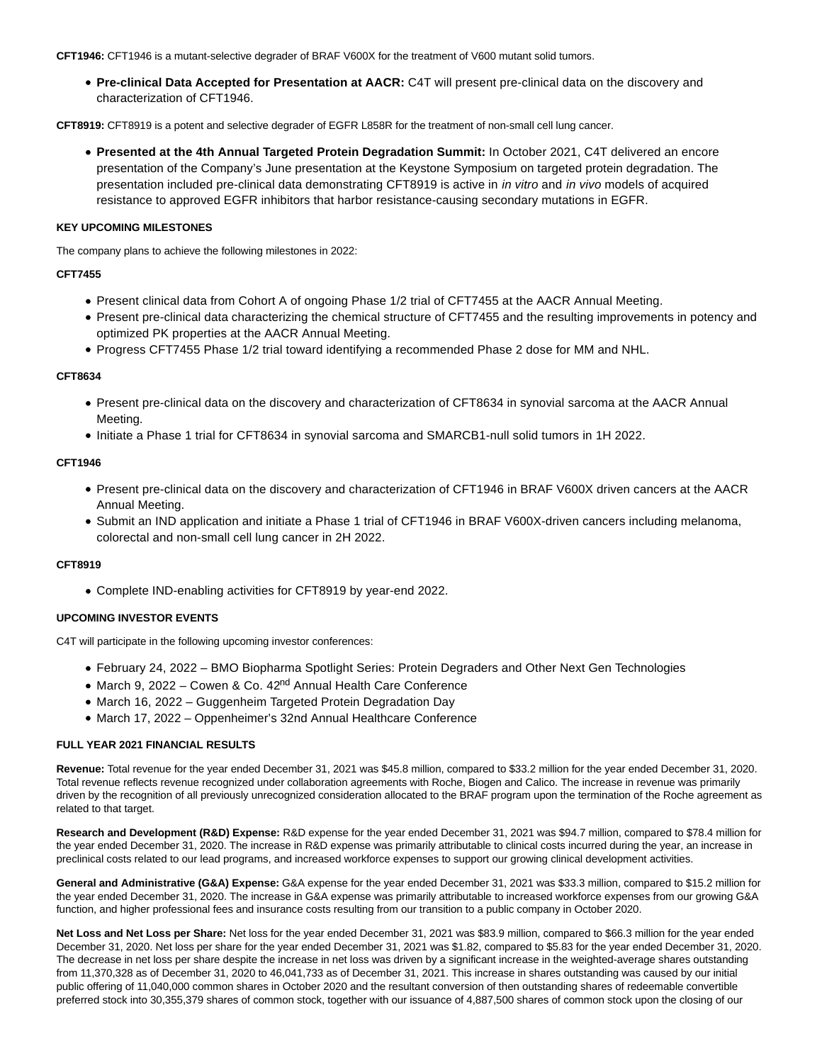**CFT1946:** CFT1946 is a mutant-selective degrader of BRAF V600X for the treatment of V600 mutant solid tumors.

**Pre-clinical Data Accepted for Presentation at AACR:** C4T will present pre-clinical data on the discovery and characterization of CFT1946.

**CFT8919:** CFT8919 is a potent and selective degrader of EGFR L858R for the treatment of non-small cell lung cancer.

**Presented at the 4th Annual Targeted Protein Degradation Summit:** In October 2021, C4T delivered an encore presentation of the Company's June presentation at the Keystone Symposium on targeted protein degradation. The presentation included pre-clinical data demonstrating CFT8919 is active in *in vitro* and *in vivo* models of acquired resistance to approved EGFR inhibitors that harbor resistance-causing secondary mutations in EGFR.

#### **KEY UPCOMING MILESTONES**

The company plans to achieve the following milestones in 2022:

#### **CFT7455**

- Present clinical data from Cohort A of ongoing Phase 1/2 trial of CFT7455 at the AACR Annual Meeting.
- Present pre-clinical data characterizing the chemical structure of CFT7455 and the resulting improvements in potency and optimized PK properties at the AACR Annual Meeting.
- Progress CFT7455 Phase 1/2 trial toward identifying a recommended Phase 2 dose for MM and NHL.

#### **CFT8634**

- Present pre-clinical data on the discovery and characterization of CFT8634 in synovial sarcoma at the AACR Annual Meeting.
- $\bullet$  Initiate a Phase 1 trial for CFT8634 in synovial sarcoma and SMARCB1-null solid tumors in 1H 2022.

#### **CFT1946**

- Present pre-clinical data on the discovery and characterization of CFT1946 in BRAF V600X driven cancers at the AACR Annual Meeting.
- Submit an IND application and initiate a Phase 1 trial of CFT1946 in BRAF V600X-driven cancers including melanoma, colorectal and non-small cell lung cancer in 2H 2022.

## **CFT8919**

Complete IND-enabling activities for CFT8919 by year-end 2022.

#### **UPCOMING INVESTOR EVENTS**

C4T will participate in the following upcoming investor conferences:

- February 24, 2022 BMO Biopharma Spotlight Series: Protein Degraders and Other Next Gen Technologies
- March 9, 2022 Cowen & Co. 42<sup>nd</sup> Annual Health Care Conference
- March 16, 2022 Guggenheim Targeted Protein Degradation Day
- March 17, 2022 Oppenheimer's 32nd Annual Healthcare Conference

#### **FULL YEAR 2021 FINANCIAL RESULTS**

**Revenue:** Total revenue for the year ended December 31, 2021 was \$45.8 million, compared to \$33.2 million for the year ended December 31, 2020. Total revenue reflects revenue recognized under collaboration agreements with Roche, Biogen and Calico. The increase in revenue was primarily driven by the recognition of all previously unrecognized consideration allocated to the BRAF program upon the termination of the Roche agreement as related to that target.

**Research and Development (R&D) Expense:** R&D expense for the year ended December 31, 2021 was \$94.7 million, compared to \$78.4 million for the year ended December 31, 2020. The increase in R&D expense was primarily attributable to clinical costs incurred during the year, an increase in preclinical costs related to our lead programs, and increased workforce expenses to support our growing clinical development activities.

**General and Administrative (G&A) Expense:** G&A expense for the year ended December 31, 2021 was \$33.3 million, compared to \$15.2 million for the year ended December 31, 2020. The increase in G&A expense was primarily attributable to increased workforce expenses from our growing G&A function, and higher professional fees and insurance costs resulting from our transition to a public company in October 2020.

**Net Loss and Net Loss per Share:** Net loss for the year ended December 31, 2021 was \$83.9 million, compared to \$66.3 million for the year ended December 31, 2020. Net loss per share for the year ended December 31, 2021 was \$1.82, compared to \$5.83 for the year ended December 31, 2020. The decrease in net loss per share despite the increase in net loss was driven by a significant increase in the weighted-average shares outstanding from 11,370,328 as of December 31, 2020 to 46,041,733 as of December 31, 2021. This increase in shares outstanding was caused by our initial public offering of 11,040,000 common shares in October 2020 and the resultant conversion of then outstanding shares of redeemable convertible preferred stock into 30,355,379 shares of common stock, together with our issuance of 4,887,500 shares of common stock upon the closing of our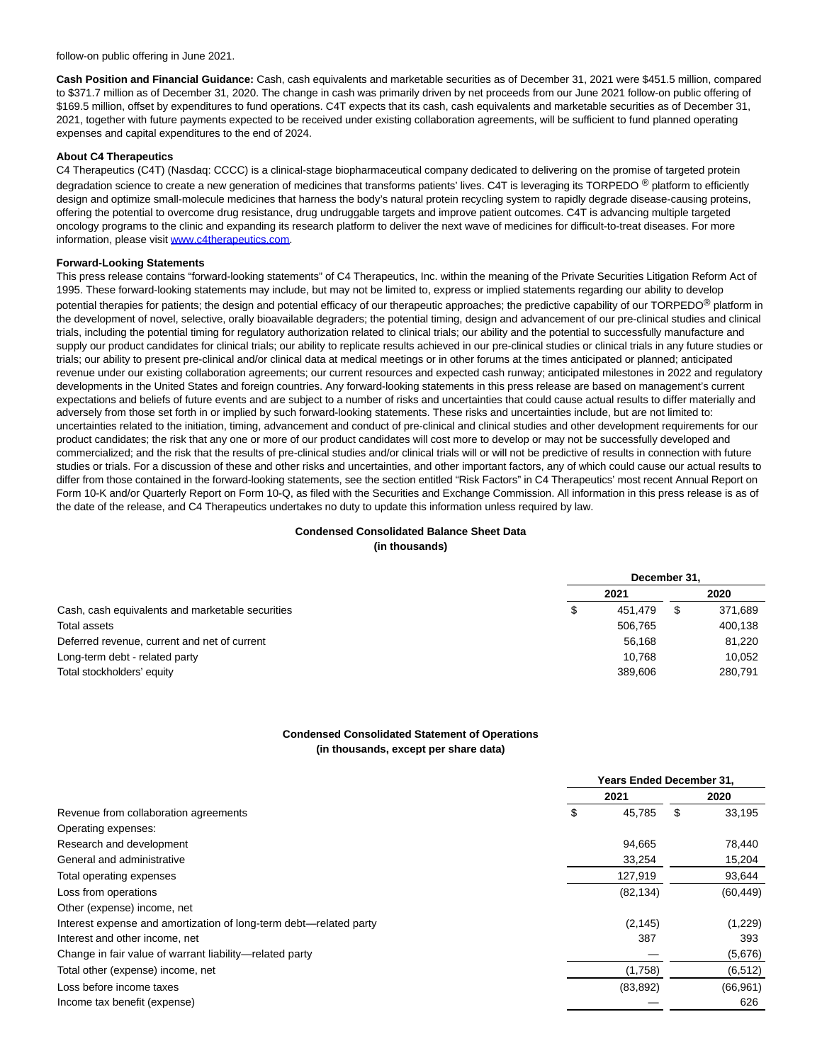follow-on public offering in June 2021.

**Cash Position and Financial Guidance:** Cash, cash equivalents and marketable securities as of December 31, 2021 were \$451.5 million, compared to \$371.7 million as of December 31, 2020. The change in cash was primarily driven by net proceeds from our June 2021 follow-on public offering of \$169.5 million, offset by expenditures to fund operations. C4T expects that its cash, cash equivalents and marketable securities as of December 31, 2021, together with future payments expected to be received under existing collaboration agreements, will be sufficient to fund planned operating expenses and capital expenditures to the end of 2024.

#### **About C4 Therapeutics**

C4 Therapeutics (C4T) (Nasdaq: CCCC) is a clinical-stage biopharmaceutical company dedicated to delivering on the promise of targeted protein degradation science to create a new generation of medicines that transforms patients' lives. C4T is leveraging its TORPEDO ® platform to efficiently design and optimize small-molecule medicines that harness the body's natural protein recycling system to rapidly degrade disease-causing proteins, offering the potential to overcome drug resistance, drug undruggable targets and improve patient outcomes. C4T is advancing multiple targeted oncology programs to the clinic and expanding its research platform to deliver the next wave of medicines for difficult-to-treat diseases. For more information, please visi[t www.c4therapeutics.com.](https://www.globenewswire.com/Tracker?data=qavhkENVFt8CLfHBrnxXMZ7udA0hkv1z2ihxoatbvTuFIYBs34zuZ_nX_itaYi7myBT-bTk4ic-JC4wA9G_S_qeo98nsiw7b8Ef3AocSYSQ=)

#### **Forward-Looking Statements**

This press release contains "forward-looking statements" of C4 Therapeutics, Inc. within the meaning of the Private Securities Litigation Reform Act of 1995. These forward-looking statements may include, but may not be limited to, express or implied statements regarding our ability to develop potential therapies for patients; the design and potential efficacy of our therapeutic approaches; the predictive capability of our TORPEDO<sup>®</sup> platform in the development of novel, selective, orally bioavailable degraders; the potential timing, design and advancement of our pre-clinical studies and clinical trials, including the potential timing for regulatory authorization related to clinical trials; our ability and the potential to successfully manufacture and supply our product candidates for clinical trials; our ability to replicate results achieved in our pre-clinical studies or clinical trials in any future studies or trials; our ability to present pre-clinical and/or clinical data at medical meetings or in other forums at the times anticipated or planned; anticipated revenue under our existing collaboration agreements; our current resources and expected cash runway; anticipated milestones in 2022 and regulatory developments in the United States and foreign countries. Any forward-looking statements in this press release are based on management's current expectations and beliefs of future events and are subject to a number of risks and uncertainties that could cause actual results to differ materially and adversely from those set forth in or implied by such forward-looking statements. These risks and uncertainties include, but are not limited to: uncertainties related to the initiation, timing, advancement and conduct of pre-clinical and clinical studies and other development requirements for our product candidates; the risk that any one or more of our product candidates will cost more to develop or may not be successfully developed and commercialized; and the risk that the results of pre-clinical studies and/or clinical trials will or will not be predictive of results in connection with future studies or trials. For a discussion of these and other risks and uncertainties, and other important factors, any of which could cause our actual results to differ from those contained in the forward-looking statements, see the section entitled "Risk Factors" in C4 Therapeutics' most recent Annual Report on Form 10-K and/or Quarterly Report on Form 10-Q, as filed with the Securities and Exchange Commission. All information in this press release is as of the date of the release, and C4 Therapeutics undertakes no duty to update this information unless required by law.

# **Condensed Consolidated Balance Sheet Data**

**(in thousands)**

|                                                  | December 31. |         |  |         |
|--------------------------------------------------|--------------|---------|--|---------|
|                                                  |              | 2021    |  | 2020    |
| Cash, cash equivalents and marketable securities | S            | 451.479 |  | 371,689 |
| Total assets                                     |              | 506.765 |  | 400,138 |
| Deferred revenue, current and net of current     |              | 56,168  |  | 81.220  |
| Long-term debt - related party                   |              | 10.768  |  | 10.052  |
| Total stockholders' equity                       |              | 389.606 |  | 280.791 |

## **Condensed Consolidated Statement of Operations (in thousands, except per share data)**

|                                                                   | <b>Years Ended December 31.</b> |    |           |  |  |
|-------------------------------------------------------------------|---------------------------------|----|-----------|--|--|
| Revenue from collaboration agreements                             | 2021                            |    | 2020      |  |  |
|                                                                   | \$<br>45.785                    | \$ | 33,195    |  |  |
| Operating expenses:                                               |                                 |    |           |  |  |
| Research and development                                          | 94,665                          |    | 78,440    |  |  |
| General and administrative                                        | 33,254                          |    | 15,204    |  |  |
| Total operating expenses                                          | 127,919                         |    | 93,644    |  |  |
| Loss from operations                                              | (82, 134)                       |    | (60, 449) |  |  |
| Other (expense) income, net                                       |                                 |    |           |  |  |
| Interest expense and amortization of long-term debt—related party | (2, 145)                        |    | (1,229)   |  |  |
| Interest and other income, net                                    | 387                             |    | 393       |  |  |
| Change in fair value of warrant liability-related party           |                                 |    | (5,676)   |  |  |
| Total other (expense) income, net                                 | (1,758)                         |    | (6, 512)  |  |  |
| Loss before income taxes                                          | (83, 892)                       |    | (66, 961) |  |  |
| Income tax benefit (expense)                                      |                                 |    | 626       |  |  |
|                                                                   |                                 |    |           |  |  |